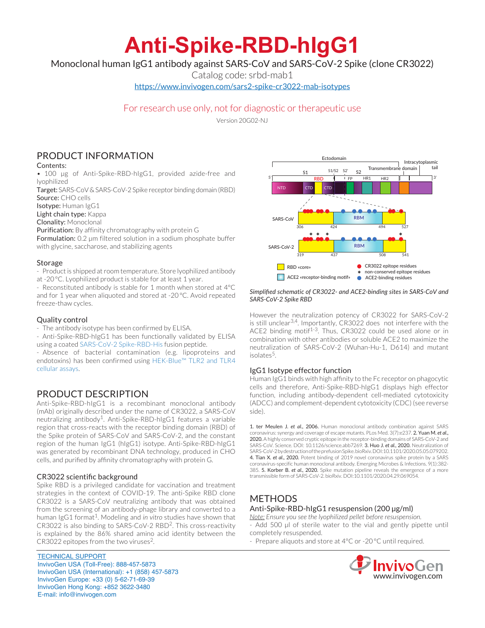# **Anti-Spike-RBD-hIgG1**

Monoclonal human IgG1 antibody against SARS-CoV and SARS-CoV-2 Spike (clone CR3022)

Catalog code: srbd-mab1

https://www.invivogen.com/sars2-spike-cr3022-mab-isotypes

# For research use only, not for diagnostic or therapeutic use

Version 20G02-NJ

# PRODUCT INFORMATION

## Contents:

• 100 µg of Anti-Spike-RBD-hIgG1, provided azide-free and lyophilized

Target: SARS-CoV & SARS-CoV-2 Spike receptor binding domain (RBD) Source: CHO cells

Isotype: Human IgG1

Light chain type: Kappa

Clonality: Monoclonal

Purification: By affinity chromatography with protein G

Formulation: 0.2 µm filtered solution in a sodium phosphate buffer with glycine, saccharose, and stabilizing agents

#### **Storage**

- Product is shipped at room temperature. Store lyophilized antibody at -20 °C. Lyophilized product is stable for at least 1 year.

- Reconstituted antibody is stable for 1 month when stored at 4°C and for 1 year when aliquoted and stored at -20 °C. Avoid repeated freeze-thaw cycles.

## Quality control

- The antibody isotype has been confirmed by ELISA.

- Anti-Spike-RBD-hIgG1 has been functionally validated by ELISA using a coated SARS-CoV-2 Spike-RBD-His fusion peptide.

- Absence of bacterial contamination (e.g. lipoproteins and endotoxins) has been confirmed using HEK-Blue™ TLR2 and TLR4 cellular assays.

# PRODUCT DESCRIPTION

Anti-Spike-RBD-hIgG1 is a recombinant monoclonal antibody (mAb) originally described under the name of CR3022, a SARS-CoV neutralizing antibody<sup>1</sup>. Anti-Spike-RBD-hIgG1 features a variable region that cross-reacts with the receptor binding domain (RBD) of the Spike protein of SARS-CoV and SARS-CoV-2, and the constant region of the human IgG1 (hIgG1) isotype. Anti-Spike-RBD-hIgG1 was generated by recombinant DNA technology, produced in CHO cells, and purified by affinity chromatography with protein G.

## CR3022 scientific background

Spike RBD is a privileged candidate for vaccination and treatment strategies in the context of COVID-19. The anti-Spike RBD clone CR3022 is a SARS-CoV neutralizing antibody that was obtained from the screening of an antibody-phage library and converted to a human IgG1 format<sup>1</sup>. Modeling and *in vitro* studies have shown that CR3022 is also binding to SARS-CoV-2 RBD2. This cross-reactivity is explained by the 86% shared amino acid identity between the CR3022 epitopes from the two viruses<sup>2</sup>.

TECHNICAL SUPPORT InvivoGen USA (Toll‑Free): 888-457-5873 InvivoGen USA (International): +1 (858) 457-5873 InvivoGen Europe: +33 (0) 5-62-71-69-39 InvivoGen Hong Kong: +852 3622-3480 E-mail: info@invivogen.com



#### *Simplified schematic of CR3022- and ACE2-binding sites in SARS-CoV and SARS-CoV-2 Spike RBD*

However the neutralization potency of CR3022 for SARS-CoV-2 is still unclear<sup>3,4</sup>. Importantly, CR3022 does not interfere with the ACE2 binding motif<sup>1-3</sup>. Thus, CR3022 could be used alone or in combination with other antibodies or soluble ACE2 to maximize the neutralization of SARS-CoV-2 (Wuhan-Hu-1, D614) and mutant isolates<sup>5</sup>.

# IgG1 Isotype effector function

Human IgG1 binds with high affinity to the Fc receptor on phagocytic cells and therefore, Anti-Spike-RBD-hIgG1 displays high effector function, including antibody-dependent cell-mediated cytotoxicity (ADCC) and complement-dependent cytotoxicity (CDC) (see reverse side).

1. ter Meulen J. *et al*., 2006. Human monoclonal antibody combination against SARS coronavirus: synergy and coverage of escape mutants. PLos Med. 3(7):e237. 2. Yuan M. *et al*., 2020. A highly conserved cryptic epitope in the receptor-binding domains of SARS-CoV-2 and SARS-CoV. Science. DOI: 10.1126/science.abb7269. 3. Huo J. *et al*., 2020. Neutralization of SARS-CoV-2 by destruction of the prefusion Spike. bioRxiv. DOI:10.1101/2020.05.05.079202. 4. Tian X. *et al*., 2020. Potent binding of 2019 novel coronavirus spike protein by a SARS coronavirus-specific human monoclonal antibody. Emerging Microbes & Infections. 9(1):382- 385. 5. Korber B. *et al*., 2020. Spike mutation pipeline reveals the emergence of a more transmissible form of SARS-CoV-2. bioRxiv. DOI:10.1101/2020.04.29.069054.

# **METHODS**

## Anti-Spike-RBD-hIgG1 resuspension (200 µg/ml)

*Note: Ensure you see the lyophilized pellet before resuspension.* - Add 500 µl of sterile water to the vial and gently pipette until completely resuspended.

- Prepare aliquots and store at 4°C or -20 °C until required.